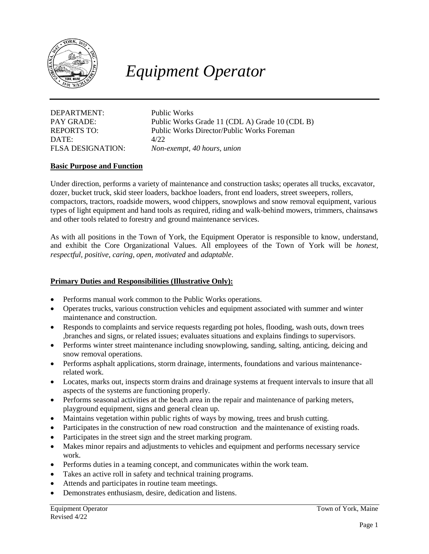

# *Equipment Operator*

DEPARTMENT: Public Works DATE: 4/22

PAY GRADE: Public Works Grade 11 (CDL A) Grade 10 (CDL B) REPORTS TO: Public Works Director/Public Works Foreman FLSA DESIGNATION: *Non-exempt, 40 hours, union*

## **Basic Purpose and Function**

Under direction, performs a variety of maintenance and construction tasks; operates all trucks, excavator, dozer, bucket truck, skid steer loaders, backhoe loaders, front end loaders, street sweepers, rollers, compactors, tractors, roadside mowers, wood chippers, snowplows and snow removal equipment, various types of light equipment and hand tools as required, riding and walk-behind mowers, trimmers, chainsaws and other tools related to forestry and ground maintenance services.

As with all positions in the Town of York, the Equipment Operator is responsible to know, understand, and exhibit the Core Organizational Values. All employees of the Town of York will be *honest, respectful, positive, caring, open, motivated* and *adaptable*.

#### **Primary Duties and Responsibilities (Illustrative Only):**

- Performs manual work common to the Public Works operations.
- Operates trucks, various construction vehicles and equipment associated with summer and winter maintenance and construction.
- Responds to complaints and service requests regarding pot holes, flooding, wash outs, down trees ,branches and signs, or related issues; evaluates situations and explains findings to supervisors.
- Performs winter street maintenance including snowplowing, sanding, salting, anticing, deicing and snow removal operations.
- Performs asphalt applications, storm drainage, interments, foundations and various maintenancerelated work.
- Locates, marks out, inspects storm drains and drainage systems at frequent intervals to insure that all aspects of the systems are functioning properly.
- Performs seasonal activities at the beach area in the repair and maintenance of parking meters, playground equipment, signs and general clean up.
- Maintains vegetation within public rights of ways by mowing, trees and brush cutting.
- Participates in the construction of new road construction and the maintenance of existing roads.
- Participates in the street sign and the street marking program.
- Makes minor repairs and adjustments to vehicles and equipment and performs necessary service work.
- Performs duties in a teaming concept, and communicates within the work team.
- Takes an active roll in safety and technical training programs.
- Attends and participates in routine team meetings.
- Demonstrates enthusiasm, desire, dedication and listens.